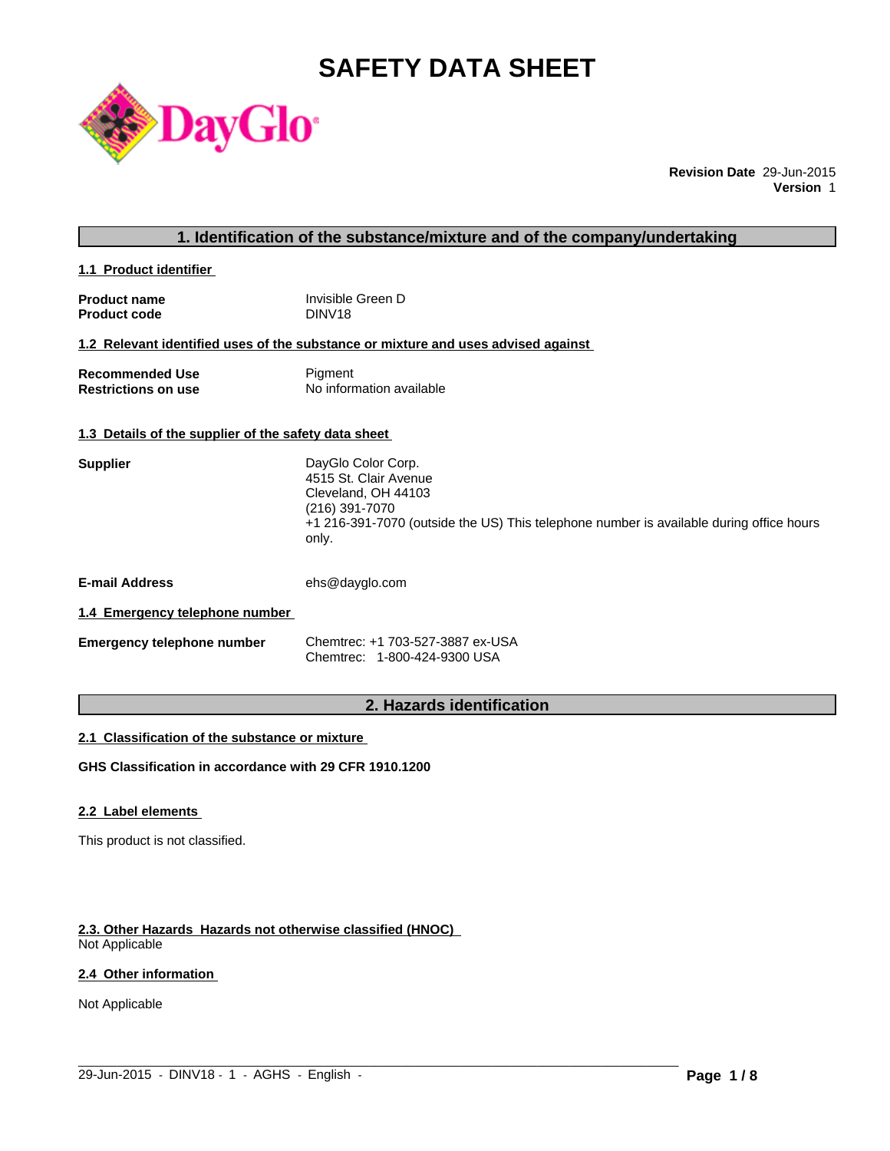# **SAFETY DATA SHEET**



**Revision Date** 29-Jun-2015 **Version** 1

# **1. Identification of the substance/mixture and of the company/undertaking**

**1.1 Product identifier** 

| <b>Product name</b> | Invisible Green D  |
|---------------------|--------------------|
| <b>Product code</b> | DINV <sub>18</sub> |

### **1.2 Relevant identified uses of the substance or mixture and uses advised against**

| <b>Recommended Use</b>     | Pigment                  |
|----------------------------|--------------------------|
| <b>Restrictions on use</b> | No information available |

#### **1.3 Details of the supplier of the safety data sheet**

| DayGlo Color Corp.                                                                               |
|--------------------------------------------------------------------------------------------------|
| 4515 St. Clair Avenue                                                                            |
| Cleveland, OH 44103                                                                              |
| (216) 391-7070                                                                                   |
| +1 216-391-7070 (outside the US) This telephone number is available during office hours<br>only. |
|                                                                                                  |
|                                                                                                  |

**E-mail Address** ehs@dayglo.com

#### **1.4 Emergency telephone number**

| <b>Emergency telephone number</b> | Chemtrec: +1 703-527-3887 ex-USA |
|-----------------------------------|----------------------------------|
|                                   | Chemtrec: 1-800-424-9300 USA     |

# **2. Hazards identification**

 $\_$  ,  $\_$  ,  $\_$  ,  $\_$  ,  $\_$  ,  $\_$  ,  $\_$  ,  $\_$  ,  $\_$  ,  $\_$  ,  $\_$  ,  $\_$  ,  $\_$  ,  $\_$  ,  $\_$  ,  $\_$  ,  $\_$  ,  $\_$  ,  $\_$  ,  $\_$  ,  $\_$  ,  $\_$  ,  $\_$  ,  $\_$  ,  $\_$  ,  $\_$  ,  $\_$  ,  $\_$  ,  $\_$  ,  $\_$  ,  $\_$  ,  $\_$  ,  $\_$  ,  $\_$  ,  $\_$  ,  $\_$  ,  $\_$  ,

#### **2.1 Classification of the substance or mixture**

**GHS Classification in accordance with 29 CFR 1910.1200**

# **2.2 Label elements**

This product is not classified.

#### **2.3. Other Hazards Hazards not otherwise classified (HNOC)**

Not Applicable

# **2.4 Other information**

Not Applicable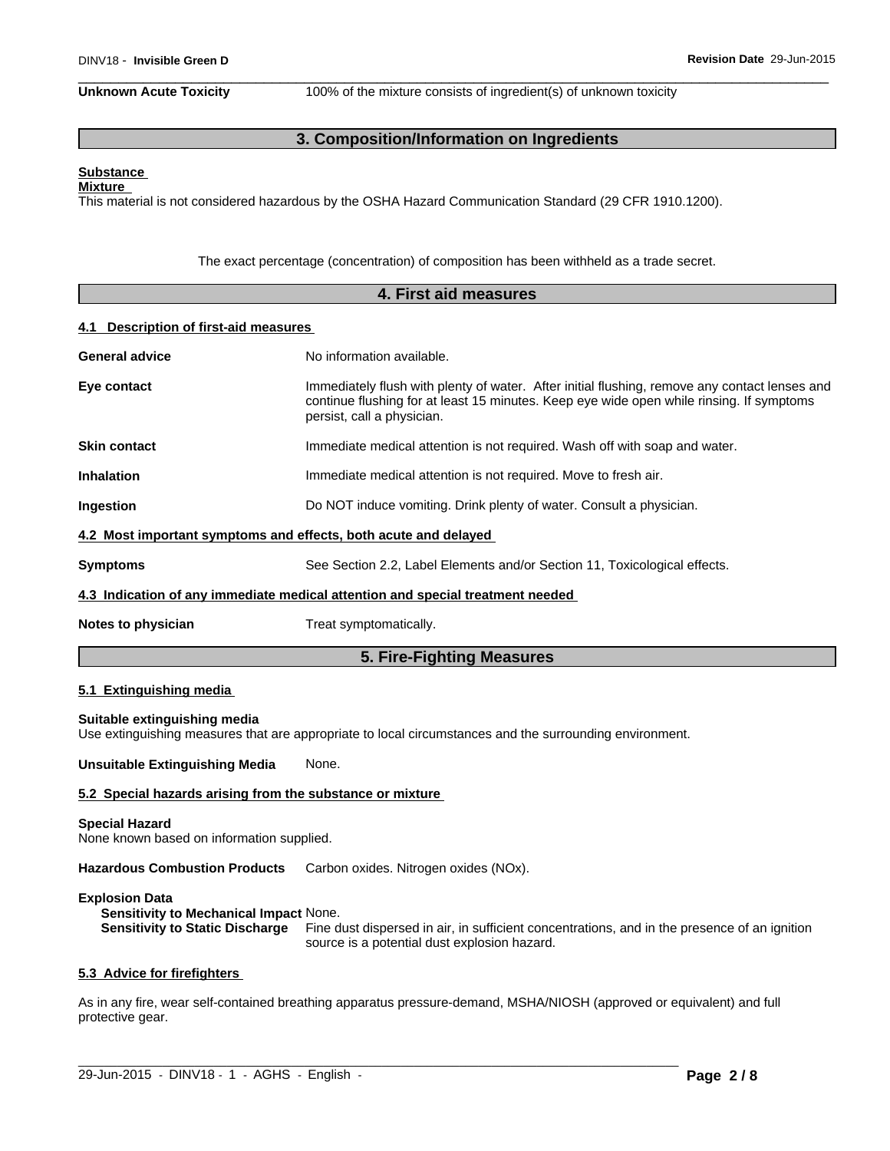**Unknown Acute Toxicity** 100% of the mixture consists of ingredient(s) of unknown toxicity

# **3. Composition/Information on Ingredients**

#### **Substance Mixture**

This material is not considered hazardous by the OSHA Hazard Communication Standard (29 CFR 1910.1200).

The exact percentage (concentration) of composition has been withheld as a trade secret.

|                                                                    | 4. First aid measures                                                                                                                                                                                                   |
|--------------------------------------------------------------------|-------------------------------------------------------------------------------------------------------------------------------------------------------------------------------------------------------------------------|
| 4.1 Description of first-aid measures                              |                                                                                                                                                                                                                         |
| <b>General advice</b>                                              | No information available.                                                                                                                                                                                               |
| Eye contact                                                        | Immediately flush with plenty of water. After initial flushing, remove any contact lenses and<br>continue flushing for at least 15 minutes. Keep eye wide open while rinsing. If symptoms<br>persist, call a physician. |
| <b>Skin contact</b>                                                | Immediate medical attention is not required. Wash off with soap and water.                                                                                                                                              |
| <b>Inhalation</b>                                                  | Immediate medical attention is not required. Move to fresh air.                                                                                                                                                         |
| Ingestion                                                          | Do NOT induce vomiting. Drink plenty of water. Consult a physician.                                                                                                                                                     |
|                                                                    | 4.2 Most important symptoms and effects, both acute and delayed                                                                                                                                                         |
| <b>Symptoms</b>                                                    | See Section 2.2, Label Elements and/or Section 11, Toxicological effects.                                                                                                                                               |
|                                                                    | 4.3 Indication of any immediate medical attention and special treatment needed                                                                                                                                          |
| Notes to physician                                                 | Treat symptomatically.                                                                                                                                                                                                  |
|                                                                    | 5. Fire-Fighting Measures                                                                                                                                                                                               |
| 5.1 Extinguishing media                                            |                                                                                                                                                                                                                         |
| Suitable extinguishing media                                       | Use extinguishing measures that are appropriate to local circumstances and the surrounding environment.                                                                                                                 |
| <b>Unsuitable Extinguishing Media</b>                              | None.                                                                                                                                                                                                                   |
|                                                                    | 5.2 Special hazards arising from the substance or mixture                                                                                                                                                               |
| <b>Special Hazard</b><br>None known based on information supplied. |                                                                                                                                                                                                                         |

**Hazardous Combustion Products** Carbon oxides. Nitrogen oxides (NOx).

#### **Explosion Data**

**Sensitivity to Mechanical Impact** None. Fine dust dispersed in air, in sufficient concentrations, and in the presence of an ignition source is a potential dust explosion hazard.

#### **5.3 Advice for firefighters**

As in any fire, wear self-contained breathing apparatus pressure-demand, MSHA/NIOSH (approved or equivalent) and full protective gear.

 $\_$  ,  $\_$  ,  $\_$  ,  $\_$  ,  $\_$  ,  $\_$  ,  $\_$  ,  $\_$  ,  $\_$  ,  $\_$  ,  $\_$  ,  $\_$  ,  $\_$  ,  $\_$  ,  $\_$  ,  $\_$  ,  $\_$  ,  $\_$  ,  $\_$  ,  $\_$  ,  $\_$  ,  $\_$  ,  $\_$  ,  $\_$  ,  $\_$  ,  $\_$  ,  $\_$  ,  $\_$  ,  $\_$  ,  $\_$  ,  $\_$  ,  $\_$  ,  $\_$  ,  $\_$  ,  $\_$  ,  $\_$  ,  $\_$  ,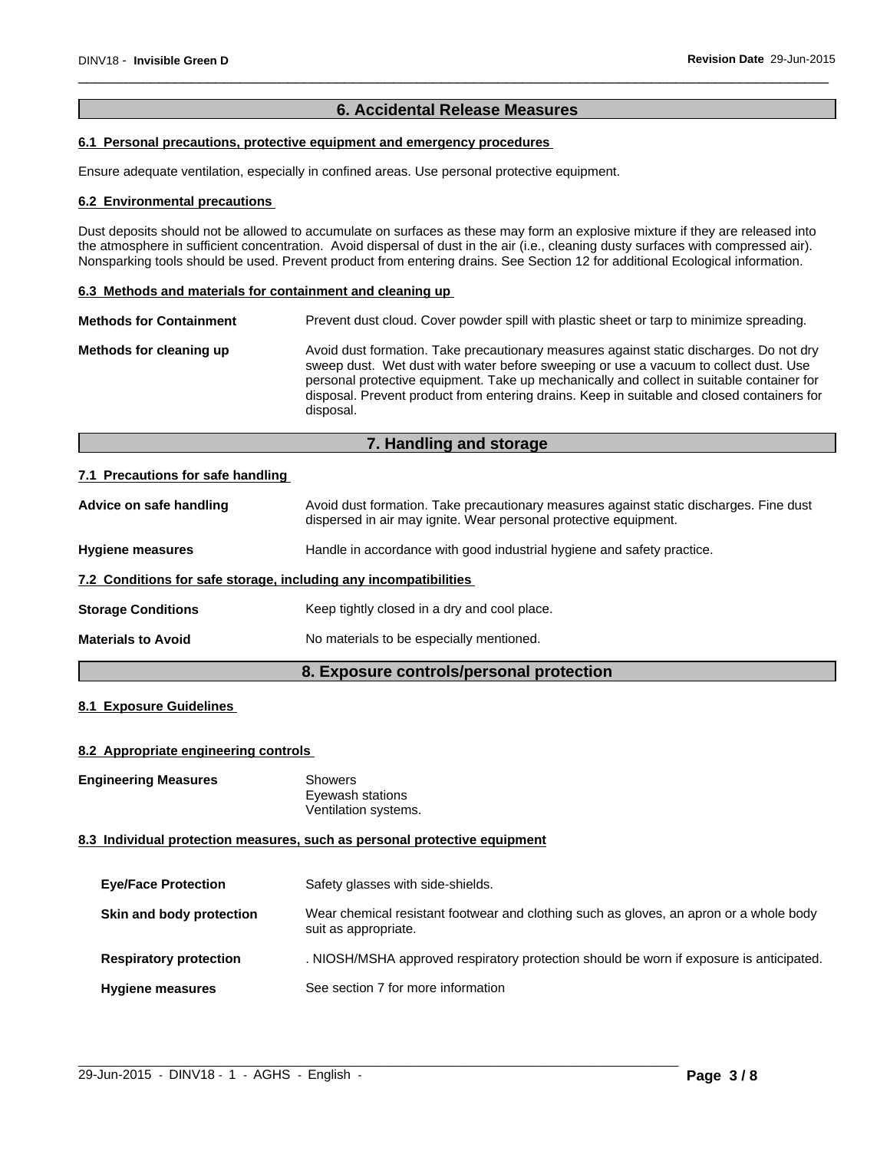# **6. Accidental Release Measures**

# **6.1 Personal precautions, protective equipment and emergency procedures**

Ensure adequate ventilation, especially in confined areas. Use personal protective equipment.

#### **6.2 Environmental precautions**

Dust deposits should not be allowed to accumulate on surfaces as these may form an explosive mixture if they are released into the atmosphere in sufficient concentration. Avoid dispersal of dust in the air (i.e., cleaning dusty surfaces with compressed air). Nonsparking tools should be used. Prevent product from entering drains. See Section 12 for additional Ecological information.

#### **6.3 Methods and materials for containment and cleaning up**

| <b>Methods for Containment</b> | Prevent dust cloud. Cover powder spill with plastic sheet or tarp to minimize spreading.                                                                                                                                                                                                                                                                                                |
|--------------------------------|-----------------------------------------------------------------------------------------------------------------------------------------------------------------------------------------------------------------------------------------------------------------------------------------------------------------------------------------------------------------------------------------|
| Methods for cleaning up        | Avoid dust formation. Take precautionary measures against static discharges. Do not dry<br>sweep dust. Wet dust with water before sweeping or use a vacuum to collect dust. Use<br>personal protective equipment. Take up mechanically and collect in suitable container for<br>disposal. Prevent product from entering drains. Keep in suitable and closed containers for<br>disposal. |

# **7. Handling and storage**

#### **7.1 Precautions for safe handling**

| Advice on safe handling                                          | Avoid dust formation. Take precautionary measures against static discharges. Fine dust<br>dispersed in air may ignite. Wear personal protective equipment. |
|------------------------------------------------------------------|------------------------------------------------------------------------------------------------------------------------------------------------------------|
| <b>Hygiene measures</b>                                          | Handle in accordance with good industrial hygiene and safety practice.                                                                                     |
| 7.2 Conditions for safe storage, including any incompatibilities |                                                                                                                                                            |
| <b>Storage Conditions</b>                                        | Keep tightly closed in a dry and cool place.                                                                                                               |
| <b>Materials to Avoid</b>                                        | No materials to be especially mentioned.                                                                                                                   |
|                                                                  |                                                                                                                                                            |

# **8. Exposure controls/personal protection**

# **8.1 Exposure Guidelines**

#### **8.2 Appropriate engineering controls**

**Engineering Measures** Showers

Eyewash stations Ventilation systems.

### **8.3 Individual protection measures, such as personal protective equipment**

| <b>Eye/Face Protection</b>    | Safety glasses with side-shields.                                                                              |
|-------------------------------|----------------------------------------------------------------------------------------------------------------|
| Skin and body protection      | Wear chemical resistant footwear and clothing such as gloves, an apron or a whole body<br>suit as appropriate. |
| <b>Respiratory protection</b> | . NIOSH/MSHA approved respiratory protection should be worn if exposure is anticipated.                        |
| <b>Hygiene measures</b>       | See section 7 for more information                                                                             |

 $\_$  ,  $\_$  ,  $\_$  ,  $\_$  ,  $\_$  ,  $\_$  ,  $\_$  ,  $\_$  ,  $\_$  ,  $\_$  ,  $\_$  ,  $\_$  ,  $\_$  ,  $\_$  ,  $\_$  ,  $\_$  ,  $\_$  ,  $\_$  ,  $\_$  ,  $\_$  ,  $\_$  ,  $\_$  ,  $\_$  ,  $\_$  ,  $\_$  ,  $\_$  ,  $\_$  ,  $\_$  ,  $\_$  ,  $\_$  ,  $\_$  ,  $\_$  ,  $\_$  ,  $\_$  ,  $\_$  ,  $\_$  ,  $\_$  ,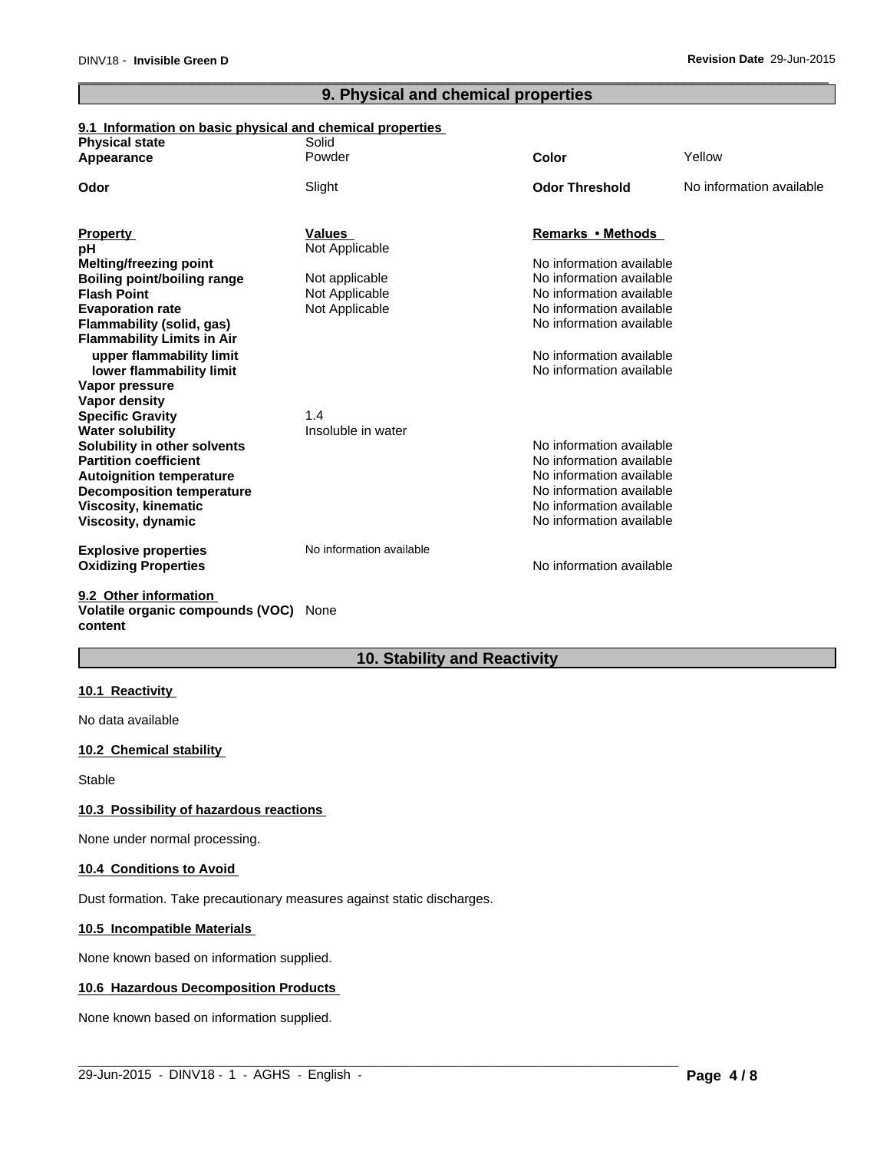# **9. Physical and chemical properties**

### **9.1 Information on basic physical and chemical properties**

| <b>Physical state</b>              | Solid                    |                          |                          |
|------------------------------------|--------------------------|--------------------------|--------------------------|
| Appearance                         | Powder                   | Color                    | Yellow                   |
| Odor                               | Slight                   | <b>Odor Threshold</b>    | No information available |
|                                    |                          |                          |                          |
| <b>Property</b>                    | Values                   | Remarks • Methods        |                          |
| pH                                 | Not Applicable           |                          |                          |
| Melting/freezing point             |                          | No information available |                          |
| Boiling point/boiling range        | Not applicable           | No information available |                          |
| <b>Flash Point</b>                 | Not Applicable           | No information available |                          |
| <b>Evaporation rate</b>            | Not Applicable           | No information available |                          |
| Flammability (solid, gas)          |                          | No information available |                          |
| <b>Flammability Limits in Air</b>  |                          |                          |                          |
| upper flammability limit           |                          | No information available |                          |
| lower flammability limit           |                          | No information available |                          |
| Vapor pressure                     |                          |                          |                          |
| Vapor density                      |                          |                          |                          |
| <b>Specific Gravity</b>            | 1.4                      |                          |                          |
| <b>Water solubility</b>            | Insoluble in water       |                          |                          |
| Solubility in other solvents       |                          | No information available |                          |
| <b>Partition coefficient</b>       |                          | No information available |                          |
| <b>Autoignition temperature</b>    |                          | No information available |                          |
| <b>Decomposition temperature</b>   |                          | No information available |                          |
| <b>Viscosity, kinematic</b>        |                          | No information available |                          |
| Viscosity, dynamic                 |                          | No information available |                          |
| <b>Explosive properties</b>        | No information available |                          |                          |
| <b>Oxidizing Properties</b>        |                          | No information available |                          |
| 9.2 Other information              |                          |                          |                          |
| $Valating$ creatic compounds $NOR$ |                          |                          |                          |

**Volatile organic compounds (VOC)** None **content**

# **10. Stability and Reactivity**

 $\_$  ,  $\_$  ,  $\_$  ,  $\_$  ,  $\_$  ,  $\_$  ,  $\_$  ,  $\_$  ,  $\_$  ,  $\_$  ,  $\_$  ,  $\_$  ,  $\_$  ,  $\_$  ,  $\_$  ,  $\_$  ,  $\_$  ,  $\_$  ,  $\_$  ,  $\_$  ,  $\_$  ,  $\_$  ,  $\_$  ,  $\_$  ,  $\_$  ,  $\_$  ,  $\_$  ,  $\_$  ,  $\_$  ,  $\_$  ,  $\_$  ,  $\_$  ,  $\_$  ,  $\_$  ,  $\_$  ,  $\_$  ,  $\_$  ,

### **10.1 Reactivity**

No data available

#### **10.2 Chemical stability**

**Stable** 

#### **10.3 Possibility of hazardous reactions**

None under normal processing.

#### **10.4 Conditions to Avoid**

Dust formation. Take precautionary measures against static discharges.

### **10.5 Incompatible Materials**

None known based on information supplied.

#### **10.6 Hazardous Decomposition Products**

None known based on information supplied.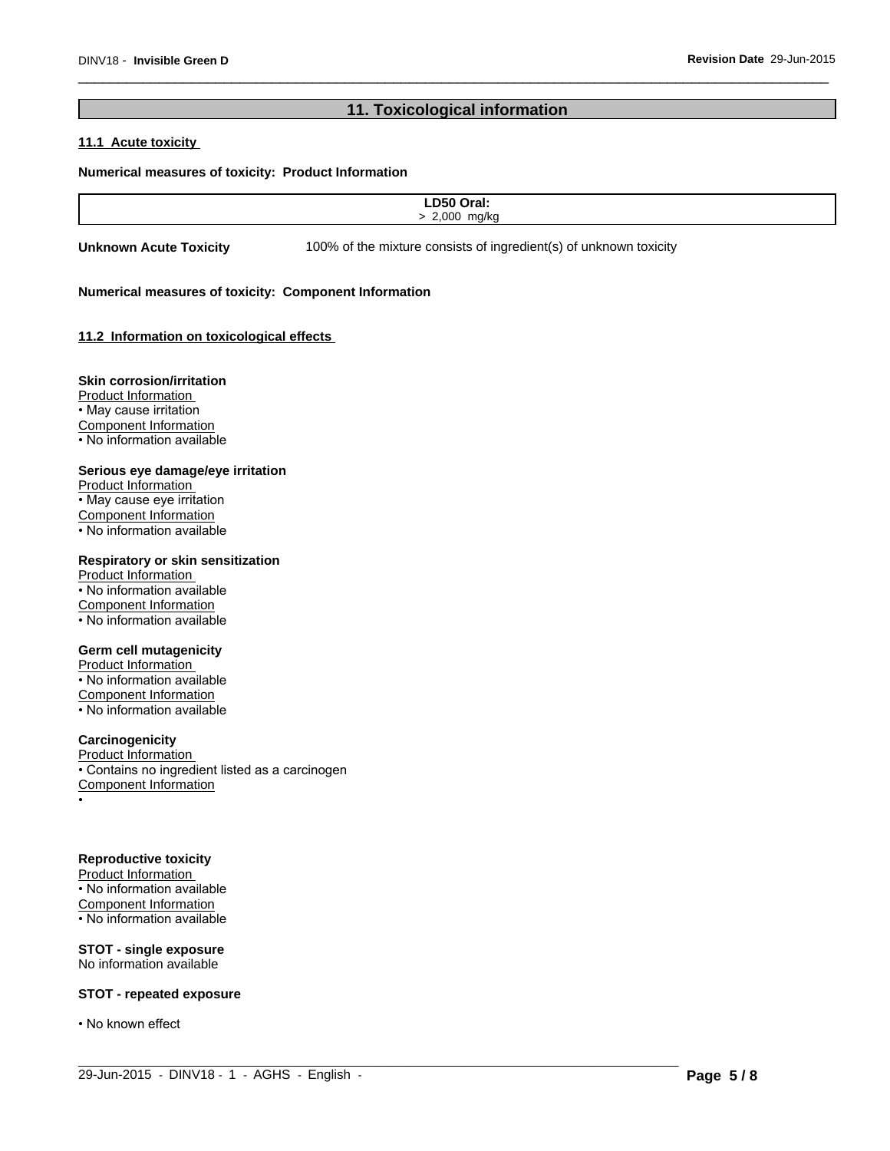# **11. Toxicological information**

### **11.1 Acute toxicity**

#### **Numerical measures of toxicity: Product Information**

| $\overline{\phantom{a}}$<br>--<br>_______ |  |
|-------------------------------------------|--|
| $\Omega$<br>max122                        |  |
|                                           |  |

 $\_$  ,  $\_$  ,  $\_$  ,  $\_$  ,  $\_$  ,  $\_$  ,  $\_$  ,  $\_$  ,  $\_$  ,  $\_$  ,  $\_$  ,  $\_$  ,  $\_$  ,  $\_$  ,  $\_$  ,  $\_$  ,  $\_$  ,  $\_$  ,  $\_$  ,  $\_$  ,  $\_$  ,  $\_$  ,  $\_$  ,  $\_$  ,  $\_$  ,  $\_$  ,  $\_$  ,  $\_$  ,  $\_$  ,  $\_$  ,  $\_$  ,  $\_$  ,  $\_$  ,  $\_$  ,  $\_$  ,  $\_$  ,  $\_$  ,

**Unknown Acute Toxicity** 100% of the mixture consists of ingredient(s) of unknown toxicity

#### **Numerical measures of toxicity: Component Information**

#### **11.2 Information on toxicologicaleffects**

#### **Skin corrosion/irritation**

Product Information • May cause irritation Component Information • No information available

#### **Serious eye damage/eye irritation**

Product Information • May cause eye irritation Component Information • No information available

### **Respiratory or skin sensitization**

Product Information • No information available Component Information • No information available

#### **Germ cell mutagenicity**

Product Information • No information available Component Information • No information available

#### **Carcinogenicity**

Product Information • Contains no ingredient listed as a carcinogen Component Information •

#### **Reproductive toxicity**

Product Information • No information available Component Information • No information available

**STOT - single exposure** No information available

#### **STOT - repeated exposure**

• No known effect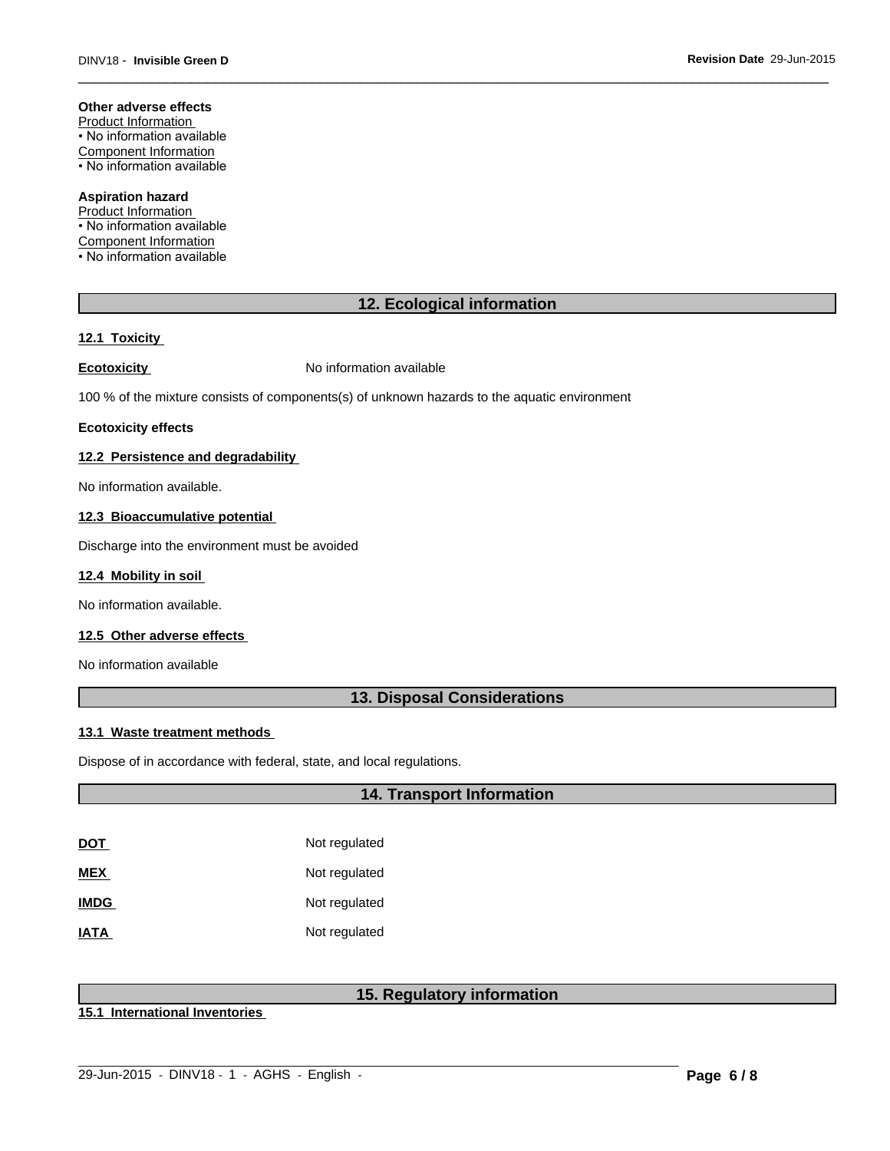#### **Other adverse effects**

Product Information • No information available Component Information • No information available

#### **Aspiration hazard**

Product Information • No information available Component Information • No information available

# **12. Ecological information**

#### **12.1 Toxicity**

**Ecotoxicity No information available** 

100 % of the mixture consists of components(s) of unknown hazards to the aquatic environment

#### **Ecotoxicity effects**

#### **12.2 Persistence and degradability**

No information available.

#### **12.3 Bioaccumulative potential**

Discharge into the environment must be avoided

#### **12.4 Mobility in soil**

No information available.

#### **12.5 Other adverse effects**

No information available

# **13. Disposal Considerations**

#### **13.1 Waste treatment methods**

Dispose of in accordance with federal, state, and local regulations.

# **14. Transport Information**

| DOT         | Not regulated |
|-------------|---------------|
| MEX         | Not regulated |
| <b>IMDG</b> | Not regulated |
| IATA        | Not regulated |

# **15. Regulatory information**

 $\_$  ,  $\_$  ,  $\_$  ,  $\_$  ,  $\_$  ,  $\_$  ,  $\_$  ,  $\_$  ,  $\_$  ,  $\_$  ,  $\_$  ,  $\_$  ,  $\_$  ,  $\_$  ,  $\_$  ,  $\_$  ,  $\_$  ,  $\_$  ,  $\_$  ,  $\_$  ,  $\_$  ,  $\_$  ,  $\_$  ,  $\_$  ,  $\_$  ,  $\_$  ,  $\_$  ,  $\_$  ,  $\_$  ,  $\_$  ,  $\_$  ,  $\_$  ,  $\_$  ,  $\_$  ,  $\_$  ,  $\_$  ,  $\_$  ,

**15.1 International Inventories**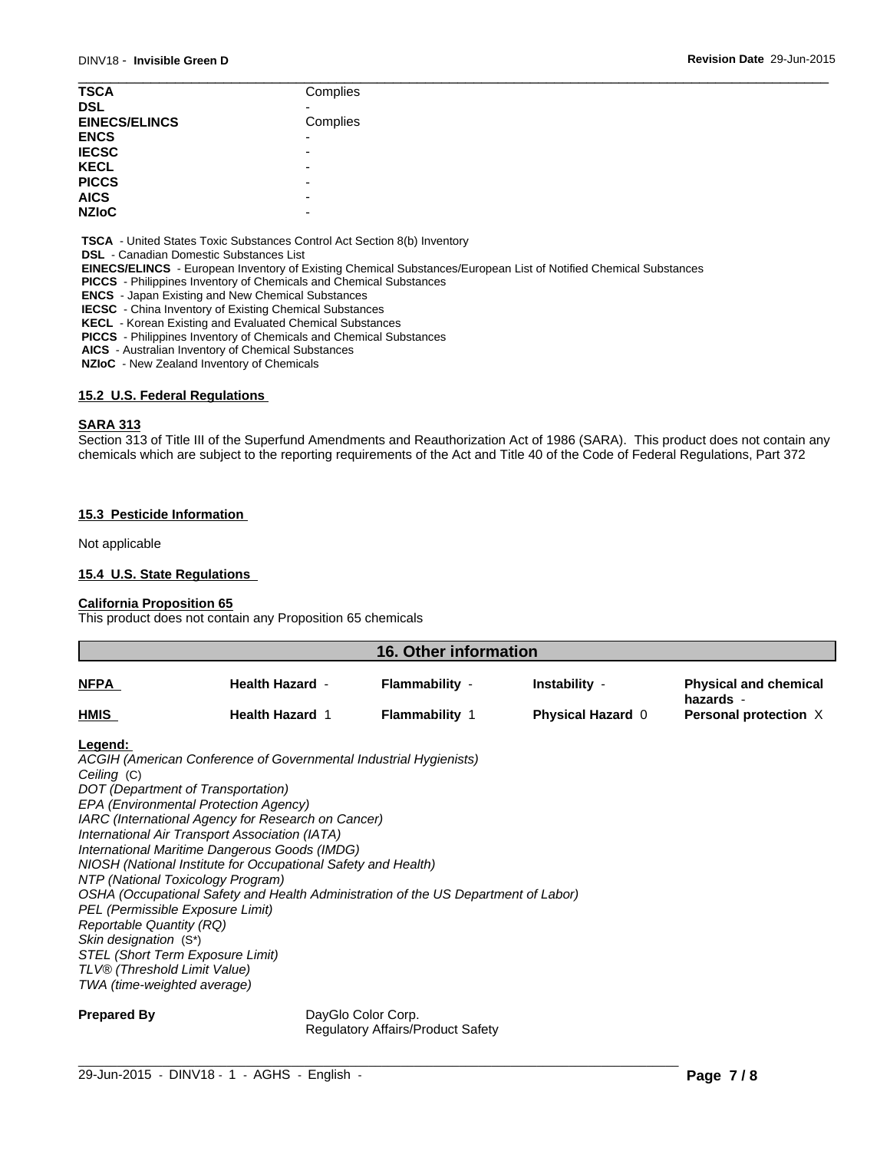| <b>TSCA</b>          | Complies                 |  |
|----------------------|--------------------------|--|
| <b>DSL</b>           |                          |  |
| <b>EINECS/ELINCS</b> | Complies                 |  |
| <b>ENCS</b>          | $\overline{\phantom{0}}$ |  |
| <b>IECSC</b>         | ۰                        |  |
| <b>KECL</b>          | -                        |  |
| <b>PICCS</b>         | ۰                        |  |
| <b>AICS</b>          | -                        |  |
| <b>NZIOC</b>         | -                        |  |
|                      |                          |  |

 **TSCA** - United States Toxic Substances Control Act Section 8(b) Inventory

 **DSL** - Canadian Domestic Substances List

 **EINECS/ELINCS** - European Inventory of Existing Chemical Substances/European List of Notified Chemical Substances

 **PICCS** - Philippines Inventory of Chemicals and Chemical Substances

 **ENCS** - Japan Existing and New Chemical Substances

 **IECSC** - China Inventory of Existing Chemical Substances

 **KECL** - Korean Existing and Evaluated Chemical Substances

 **PICCS** - Philippines Inventory of Chemicals and Chemical Substances

 **AICS** - Australian Inventory of Chemical Substances

 **NZIoC** - New Zealand Inventory of Chemicals

### **15.2 U.S. Federal Regulations**

#### **SARA 313**

Section 313 of Title III of the Superfund Amendments and Reauthorization Act of 1986 (SARA). This product does not contain any chemicals which are subject to the reporting requirements of the Act and Title 40 of the Code of Federal Regulations, Part 372

#### **15.3 Pesticide Information**

Not applicable

#### **15.4 U.S. State Regulations**

#### **California Proposition 65**

This product does not contain any Proposition 65 chemicals

| <b>NFPA</b><br><b>Flammability -</b><br><b>Health Hazard -</b> | Instability -            | <b>Physical and chemical</b><br>hazards - |
|----------------------------------------------------------------|--------------------------|-------------------------------------------|
| <b>HMIS</b><br><b>Health Hazard 1</b><br><b>Flammability 1</b> | <b>Physical Hazard 0</b> | Personal protection X                     |

#### **Legend:**

*ACGIH (American Conference of Governmental Industrial Hygienists) Ceiling* (C) *DOT (Department of Transportation) EPA (Environmental Protection Agency) IARC (International Agency for Research on Cancer) International Air Transport Association (IATA) International Maritime Dangerous Goods (IMDG) NIOSH (National Institute for Occupational Safety and Health) NTP (National Toxicology Program) OSHA (Occupational Safety and Health Administration of the US Department of Labor) PEL (Permissible Exposure Limit) Reportable Quantity (RQ) Skin designation* (S\*) *STEL (Short Term Exposure Limit) TLV® (Threshold Limit Value) TWA (time-weighted average)*

**Prepared By** DayGlo Color Corp. Regulatory Affairs/Product Safety

 $\_$  ,  $\_$  ,  $\_$  ,  $\_$  ,  $\_$  ,  $\_$  ,  $\_$  ,  $\_$  ,  $\_$  ,  $\_$  ,  $\_$  ,  $\_$  ,  $\_$  ,  $\_$  ,  $\_$  ,  $\_$  ,  $\_$  ,  $\_$  ,  $\_$  ,  $\_$  ,  $\_$  ,  $\_$  ,  $\_$  ,  $\_$  ,  $\_$  ,  $\_$  ,  $\_$  ,  $\_$  ,  $\_$  ,  $\_$  ,  $\_$  ,  $\_$  ,  $\_$  ,  $\_$  ,  $\_$  ,  $\_$  ,  $\_$  ,